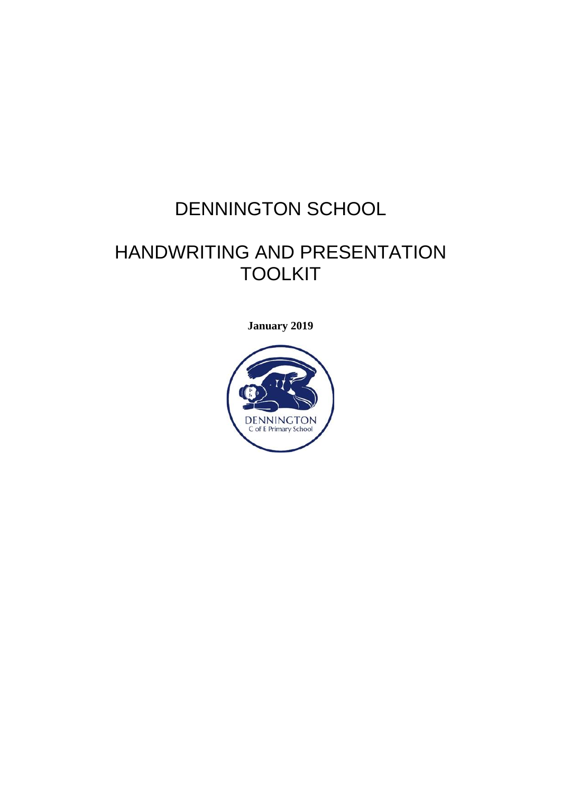# DENNINGTON SCHOOL

# HANDWRITING AND PRESENTATION TOOLKIT

**January 2019**

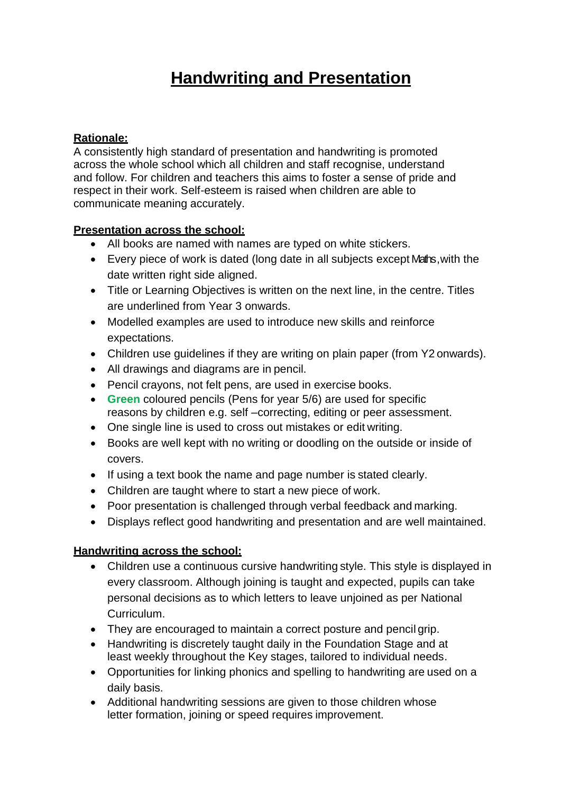# **Handwriting and Presentation**

# **Rationale:**

A consistently high standard of presentation and handwriting is promoted across the whole school which all children and staff recognise, understand and follow. For children and teachers this aims to foster a sense of pride and respect in their work. Self-esteem is raised when children are able to communicate meaning accurately.

#### **Presentation across the school:**

- All books are named with names are typed on white stickers.
- Every piece of work is dated (long date in all subjects except Maths , with the date written right side aligned.
- Title or Learning Objectives is written on the next line, in the centre. Titles are underlined from Year 3 onwards.
- Modelled examples are used to introduce new skills and reinforce expectations.
- Children use guidelines if they are writing on plain paper (from Y2 onwards).
- All drawings and diagrams are in pencil.
- Pencil crayons, not felt pens, are used in exercise books.
- **Green** coloured pencils (Pens for year 5/6) are used for specific reasons by children e.g. self –correcting, editing or peer assessment.
- One single line is used to cross out mistakes or edit writing.
- Books are well kept with no writing or doodling on the outside or inside of covers.
- If using a text book the name and page number is stated clearly.
- Children are taught where to start a new piece of work.
- Poor presentation is challenged through verbal feedback and marking.
- Displays reflect good handwriting and presentation and are well maintained.

#### **Handwriting across the school:**

- Children use a continuous cursive handwriting style. This style is displayed in every classroom. Although joining is taught and expected, pupils can take personal decisions as to which letters to leave unjoined as per National Curriculum.
- They are encouraged to maintain a correct posture and pencil grip.
- Handwriting is discretely taught daily in the Foundation Stage and at least weekly throughout the Key stages, tailored to individual needs.
- Opportunities for linking phonics and spelling to handwriting are used on a daily basis.
- Additional handwriting sessions are given to those children whose letter formation, joining or speed requires improvement.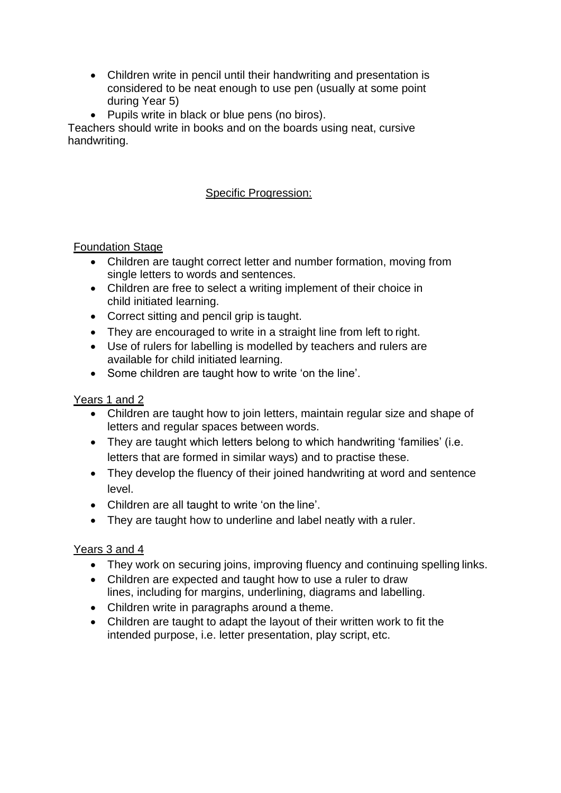- Children write in pencil until their handwriting and presentation is considered to be neat enough to use pen (usually at some point during Year 5)
- Pupils write in black or blue pens (no biros).

Teachers should write in books and on the boards using neat, cursive handwriting.

# Specific Progression:

# **Foundation Stage**

- Children are taught correct letter and number formation, moving from single letters to words and sentences.
- Children are free to select a writing implement of their choice in child initiated learning.
- Correct sitting and pencil grip is taught.
- They are encouraged to write in a straight line from left to right.
- Use of rulers for labelling is modelled by teachers and rulers are available for child initiated learning.
- Some children are taught how to write 'on the line'.

#### Years 1 and 2

- Children are taught how to join letters, maintain regular size and shape of letters and regular spaces between words.
- They are taught which letters belong to which handwriting 'families' (i.e. letters that are formed in similar ways) and to practise these.
- They develop the fluency of their joined handwriting at word and sentence level.
- Children are all taught to write 'on the line'.
- They are taught how to underline and label neatly with a ruler.

# Years 3 and 4

- They work on securing joins, improving fluency and continuing spelling links.
- Children are expected and taught how to use a ruler to draw lines, including for margins, underlining, diagrams and labelling.
- Children write in paragraphs around a theme.
- Children are taught to adapt the layout of their written work to fit the intended purpose, i.e. letter presentation, play script, etc.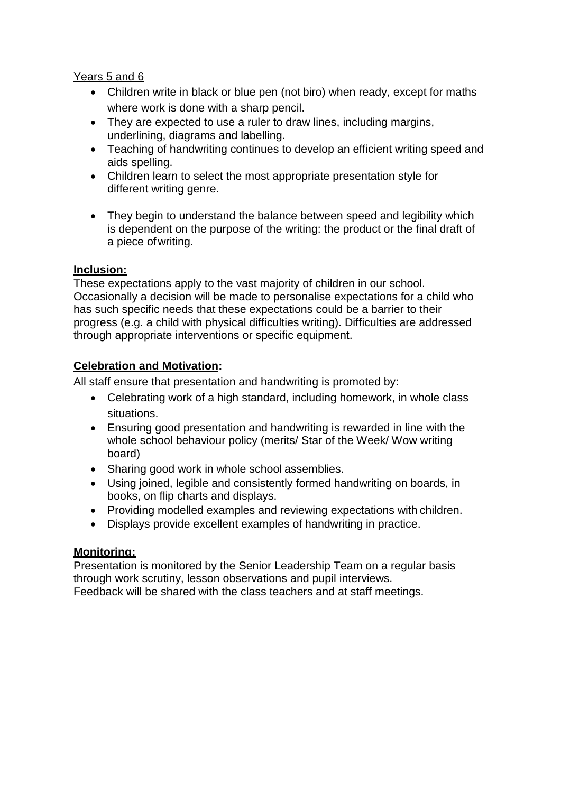#### Years 5 and 6

- Children write in black or blue pen (not biro) when ready, except for maths where work is done with a sharp pencil.
- They are expected to use a ruler to draw lines, including margins, underlining, diagrams and labelling.
- Teaching of handwriting continues to develop an efficient writing speed and aids spelling.
- Children learn to select the most appropriate presentation style for different writing genre.
- They begin to understand the balance between speed and legibility which is dependent on the purpose of the writing: the product or the final draft of a piece ofwriting.

#### **Inclusion:**

These expectations apply to the vast majority of children in our school. Occasionally a decision will be made to personalise expectations for a child who has such specific needs that these expectations could be a barrier to their progress (e.g. a child with physical difficulties writing). Difficulties are addressed through appropriate interventions or specific equipment.

# **Celebration and Motivation:**

All staff ensure that presentation and handwriting is promoted by:

- Celebrating work of a high standard, including homework, in whole class situations.
- Ensuring good presentation and handwriting is rewarded in line with the whole school behaviour policy (merits/ Star of the Week/ Wow writing board)
- Sharing good work in whole school assemblies.
- Using joined, legible and consistently formed handwriting on boards, in books, on flip charts and displays.
- Providing modelled examples and reviewing expectations with children.
- Displays provide excellent examples of handwriting in practice.

#### **Monitoring:**

Presentation is monitored by the Senior Leadership Team on a regular basis through work scrutiny, lesson observations and pupil interviews. Feedback will be shared with the class teachers and at staff meetings.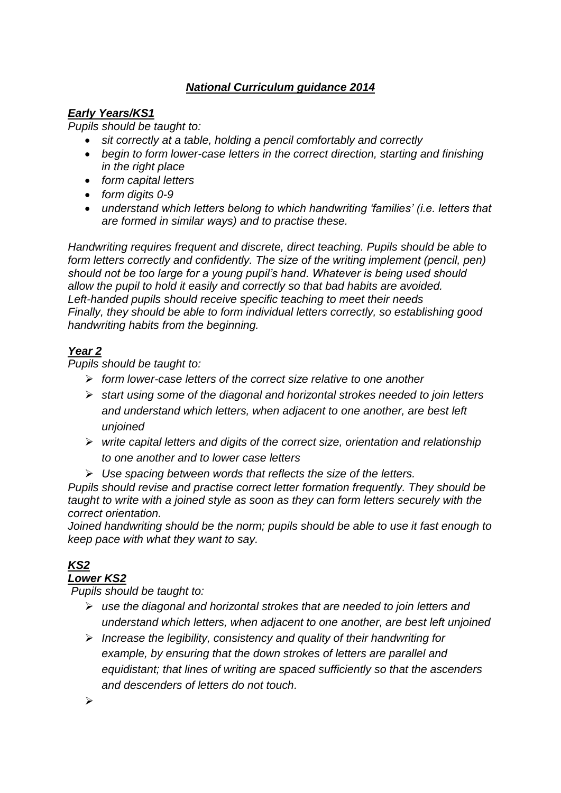# *National Curriculum guidance 2014*

# *Early Years/KS1*

*Pupils should be taught to:* 

- *sit correctly at a table, holding a pencil comfortably and correctly*
- *begin to form lower-case letters in the correct direction, starting and finishing in the right place*
- *form capital letters*
- *form digits 0-9*
- *understand which letters belong to which handwriting 'families' (i.e. letters that are formed in similar ways) and to practise these.*

*Handwriting requires frequent and discrete, direct teaching. Pupils should be able to form letters correctly and confidently. The size of the writing implement (pencil, pen) should not be too large for a young pupil's hand. Whatever is being used should allow the pupil to hold it easily and correctly so that bad habits are avoided. Left-handed pupils should receive specific teaching to meet their needs Finally, they should be able to form individual letters correctly, so establishing good handwriting habits from the beginning.*

# *Year 2*

*Pupils should be taught to:* 

- *form lower-case letters of the correct size relative to one another*
- *start using some of the diagonal and horizontal strokes needed to join letters and understand which letters, when adjacent to one another, are best left unjoined*
- *write capital letters and digits of the correct size, orientation and relationship to one another and to lower case letters*
- *Use spacing between words that reflects the size of the letters.*

*Pupils should revise and practise correct letter formation frequently. They should be taught to write with a joined style as soon as they can form letters securely with the correct orientation.* 

*Joined handwriting should be the norm; pupils should be able to use it fast enough to keep pace with what they want to say.*

# *KS2*

# *Lower KS2*

*Pupils should be taught to:* 

- *use the diagonal and horizontal strokes that are needed to join letters and understand which letters, when adjacent to one another, are best left unjoined*
- *Increase the legibility, consistency and quality of their handwriting for example, by ensuring that the down strokes of letters are parallel and equidistant; that lines of writing are spaced sufficiently so that the ascenders and descenders of letters do not touch.*

 $\blacktriangleright$